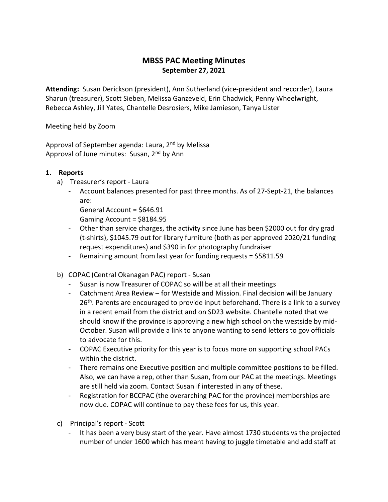## MBSS PAC Meeting Minutes September 27, 2021

Attending: Susan Derickson (president), Ann Sutherland (vice-president and recorder), Laura Sharun (treasurer), Scott Sieben, Melissa Ganzeveld, Erin Chadwick, Penny Wheelwright, Rebecca Ashley, Jill Yates, Chantelle Desrosiers, Mike Jamieson, Tanya Lister

Meeting held by Zoom

Approval of September agenda: Laura, 2<sup>nd</sup> by Melissa Approval of June minutes: Susan, 2<sup>nd</sup> by Ann

## 1. Reports

- a) Treasurer's report Laura
	- Account balances presented for past three months. As of 27-Sept-21, the balances are:

General Account = \$646.91 Gaming Account = \$8184.95

- Other than service charges, the activity since June has been \$2000 out for dry grad (t-shirts), \$1045.79 out for library furniture (both as per approved 2020/21 funding request expenditures) and \$390 in for photography fundraiser
- Remaining amount from last year for funding requests = \$5811.59
- b) COPAC (Central Okanagan PAC) report Susan
	- Susan is now Treasurer of COPAC so will be at all their meetings
	- Catchment Area Review for Westside and Mission. Final decision will be January 26<sup>th</sup>. Parents are encouraged to provide input beforehand. There is a link to a survey in a recent email from the district and on SD23 website. Chantelle noted that we should know if the province is approving a new high school on the westside by mid-October. Susan will provide a link to anyone wanting to send letters to gov officials to advocate for this.
	- COPAC Executive priority for this year is to focus more on supporting school PACs within the district.
	- There remains one Executive position and multiple committee positions to be filled. Also, we can have a rep, other than Susan, from our PAC at the meetings. Meetings are still held via zoom. Contact Susan if interested in any of these.
	- Registration for BCCPAC (the overarching PAC for the province) memberships are now due. COPAC will continue to pay these fees for us, this year.
- c) Principal's report Scott
	- It has been a very busy start of the year. Have almost 1730 students vs the projected number of under 1600 which has meant having to juggle timetable and add staff at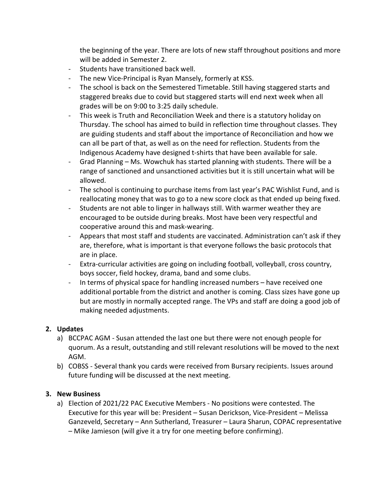the beginning of the year. There are lots of new staff throughout positions and more will be added in Semester 2.

- Students have transitioned back well.
- The new Vice-Principal is Ryan Mansely, formerly at KSS.
- The school is back on the Semestered Timetable. Still having staggered starts and staggered breaks due to covid but staggered starts will end next week when all grades will be on 9:00 to 3:25 daily schedule.
- This week is Truth and Reconciliation Week and there is a statutory holiday on Thursday. The school has aimed to build in reflection time throughout classes. They are guiding students and staff about the importance of Reconciliation and how we can all be part of that, as well as on the need for reflection. Students from the Indigenous Academy have designed t-shirts that have been available for sale.
- Grad Planning Ms. Wowchuk has started planning with students. There will be a range of sanctioned and unsanctioned activities but it is still uncertain what will be allowed.
- The school is continuing to purchase items from last year's PAC Wishlist Fund, and is reallocating money that was to go to a new score clock as that ended up being fixed.
- Students are not able to linger in hallways still. With warmer weather they are encouraged to be outside during breaks. Most have been very respectful and cooperative around this and mask-wearing.
- Appears that most staff and students are vaccinated. Administration can't ask if they are, therefore, what is important is that everyone follows the basic protocols that are in place.
- Extra-curricular activities are going on including football, volleyball, cross country, boys soccer, field hockey, drama, band and some clubs.
- In terms of physical space for handling increased numbers have received one additional portable from the district and another is coming. Class sizes have gone up but are mostly in normally accepted range. The VPs and staff are doing a good job of making needed adjustments.

## 2. Updates

- a) BCCPAC AGM Susan attended the last one but there were not enough people for quorum. As a result, outstanding and still relevant resolutions will be moved to the next AGM.
- b) COBSS Several thank you cards were received from Bursary recipients. Issues around future funding will be discussed at the next meeting.

## 3. New Business

a) Election of 2021/22 PAC Executive Members - No positions were contested. The Executive for this year will be: President – Susan Derickson, Vice-President – Melissa Ganzeveld, Secretary – Ann Sutherland, Treasurer – Laura Sharun, COPAC representative – Mike Jamieson (will give it a try for one meeting before confirming).